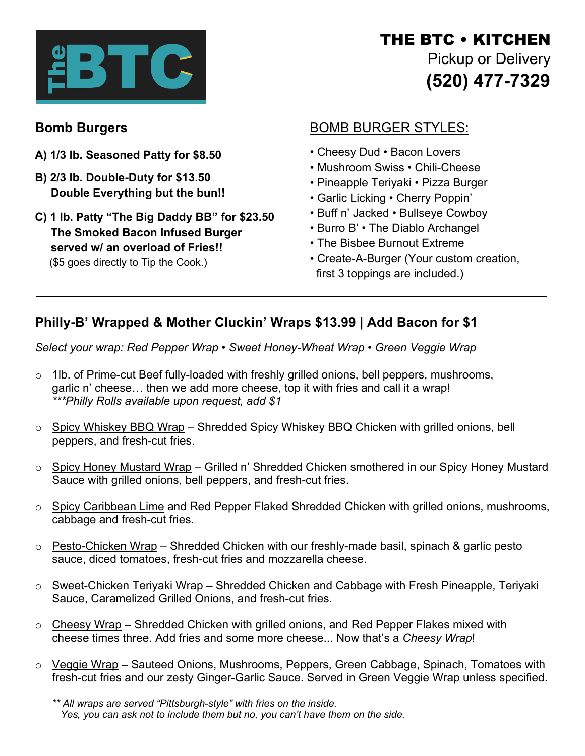

# THE BTC • KITCHEN Pickup or Delivery **(520) 477-7329**

# **Bomb Burgers**

- **A) 1/3 lb. Seasoned Patty for \$8.50**
- **B) 2/3 lb. Double-Duty for \$13.50 Double Everything but the bun!!**
- **C) 1 lb. Patty "The Big Daddy BB" for \$23.50 The Smoked Bacon Infused Burger served w/ an overload of Fries!!** (\$5 goes directly to Tip the Cook.)

# BOMB BURGER STYLES:

- Cheesy Dud Bacon Lovers
- Mushroom Swiss Chili-Cheese
- Pineapple Teriyaki Pizza Burger
- Garlic Licking Cherry Poppin'
- Buff n' Jacked Bullseye Cowboy
- Burro B' The Diablo Archangel
- The Bisbee Burnout Extreme
- Create-A-Burger (Your custom creation, first 3 toppings are included.)

## **Philly-B' Wrapped & Mother Cluckin' Wraps \$13.99 | Add Bacon for \$1**

*Select your wrap: Red Pepper Wrap • Sweet Honey-Wheat Wrap • Green Veggie Wrap*

- o 1lb. of Prime-cut Beef fully-loaded with freshly grilled onions, bell peppers, mushrooms, garlic n' cheese… then we add more cheese, top it with fries and call it a wrap! *\*\*\*Philly Rolls available upon request, add \$1*
- o Spicy Whiskey BBQ Wrap Shredded Spicy Whiskey BBQ Chicken with grilled onions, bell peppers, and fresh-cut fries.
- o Spicy Honey Mustard Wrap Grilled n' Shredded Chicken smothered in our Spicy Honey Mustard Sauce with grilled onions, bell peppers, and fresh-cut fries.
- $\circ$  Spicy Caribbean Lime and Red Pepper Flaked Shredded Chicken with grilled onions, mushrooms, cabbage and fresh-cut fries.
- o Pesto-Chicken Wrap Shredded Chicken with our freshly-made basil, spinach & garlic pesto sauce, diced tomatoes, fresh-cut fries and mozzarella cheese.
- o Sweet-Chicken Teriyaki Wrap Shredded Chicken and Cabbage with Fresh Pineapple, Teriyaki Sauce, Caramelized Grilled Onions, and fresh-cut fries.
- $\circ$  Cheesy Wrap Shredded Chicken with grilled onions, and Red Pepper Flakes mixed with cheese times three. Add fries and some more cheese... Now that's a *Cheesy Wrap*!
- o Veggie Wrap Sauteed Onions, Mushrooms, Peppers, Green Cabbage, Spinach, Tomatoes with fresh-cut fries and our zesty Ginger-Garlic Sauce. Served in Green Veggie Wrap unless specified.

*<sup>\*\*</sup> All wraps are served "Pittsburgh-style" with fries on the inside. Yes, you can ask not to include them but no, you can't have them on the side.*